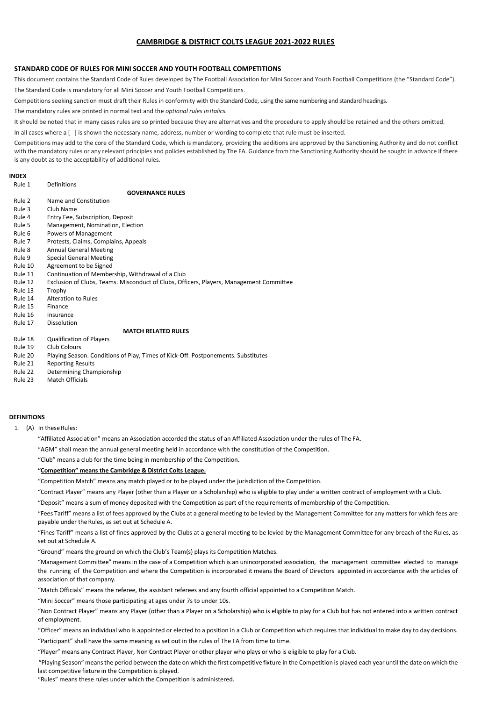# **CAMBRIDGE & DISTRICT COLTS LEAGUE 2021-2022 RULES**

# **STANDARD CODE OF RULES FOR MINI SOCCER AND YOUTH FOOTBALL COMPETITIONS**

This document contains the Standard Code of Rules developed by The Football Association for Mini Soccer and Youth Football Competitions (the "Standard Code").

The Standard Code is mandatory for all Mini Soccer and Youth Football Competitions.

Competitions seeking sanction must draft their Rules in conformity with the Standard Code, using the same numbering and standard headings.

The mandatory rules are printed in normal text and the *optional rules initalics.*

It should be noted that in many cases rules are so printed because they are alternatives and the procedure to apply should be retained and the others omitted.

In all cases where a [ ] is shown the necessary name, address, number or wording to complete that rule must be inserted.

Competitions may add to the core of the Standard Code, which is mandatory, providing the additions are approved by the Sanctioning Authority and do not conflict with the mandatory rules or any relevant principles and policies established by The FA. Guidance from the Sanctioning Authority should be sought in advance if there is any doubt as to the acceptability of additional rules.

# **INDEX**

| Rule 1  | Definitions                                                                             |
|---------|-----------------------------------------------------------------------------------------|
|         | <b>GOVERNANCE RULES</b>                                                                 |
| Rule 2  | Name and Constitution                                                                   |
| Rule 3  | Club Name                                                                               |
| Rule 4  | Entry Fee, Subscription, Deposit                                                        |
| Rule 5  | Management, Nomination, Election                                                        |
| Rule 6  | Powers of Management                                                                    |
| Rule 7  | Protests, Claims, Complains, Appeals                                                    |
| Rule 8  | <b>Annual General Meeting</b>                                                           |
| Rule 9  | <b>Special General Meeting</b>                                                          |
| Rule 10 | Agreement to be Signed                                                                  |
| Rule 11 | Continuation of Membership, Withdrawal of a Club                                        |
| Rule 12 | Exclusion of Clubs, Teams. Misconduct of Clubs, Officers, Players, Management Committee |
| Rule 13 | Trophy                                                                                  |
| Rule 14 | Alteration to Rules                                                                     |
| Rule 15 | Finance                                                                                 |
| Rule 16 | Insurance                                                                               |
| Rule 17 | Dissolution                                                                             |
|         | <b>MATCH RELATED RULES</b>                                                              |
| Rule 18 | <b>Qualification of Players</b>                                                         |
| Rule 19 | <b>Club Colours</b>                                                                     |
| Rule 20 | Playing Season. Conditions of Play, Times of Kick-Off. Postponements. Substitutes       |
| Rule 21 | <b>Reporting Results</b>                                                                |
| Rule 22 | Determining Championship                                                                |
| Rule 23 | <b>Match Officials</b>                                                                  |

#### **DEFINITIONS**

1. (A) In these Rules:

"Affiliated Association" means an Association accorded the status of an Affiliated Association under the rules of The FA.

"AGM" shall mean the annual general meeting held in accordance with the constitution of the Competition.

"Club" means a club for the time being in membership of the Competition.

### **"Competition" means the Cambridge & District Colts League.**

"Competition Match" means any match played or to be played under the jurisdiction of the Competition.

"Contract Player" means any Player (other than a Player on a Scholarship) who is eligible to play under a written contract of employment with a Club.

"Deposit" means a sum of money deposited with the Competition as part of the requirements of membership of the Competition.

"Fees Tariff" means a list of fees approved by the Clubs at a general meeting to be levied by the Management Committee for any matters for which fees are payable under the Rules, as set out at Schedule A.

"Fines Tariff" means a list of fines approved by the Clubs at a general meeting to be levied by the Management Committee for any breach of the Rules, as set out at Schedule A.

"Ground" means the ground on which the Club's Team(s) plays its Competition Matches.

"Management Committee" means in the case of a Competition which is an unincorporated association, the management committee elected to manage the running of the Competition and where the Competition is incorporated it means the Board of Directors appointed in accordance with the articles of association of that company.

"Match Officials" means the referee, the assistant referees and any fourth official appointed to a Competition Match.

"Mini Soccer" means those participating at ages under 7s to under 10s.

"Non Contract Player" means any Player (other than a Player on a Scholarship) who is eligible to play for a Club but has not entered into a written contract of employment.

"Officer" means an individual who is appointed or elected to a position in a Club or Competition which requires that individual to make day to day decisions. "Participant" shall have the same meaning as set out in the rules of The FA from time to time.

"Player" means any Contract Player, Non Contract Player or other player who plays or who is eligible to play for a Club.

"Playing Season" means the period between the date on which the first competitive fixture in the Competition is played each year until the date on which the last competitive fixture in the Competition is played.

"Rules" means these rules under which the Competition is administered.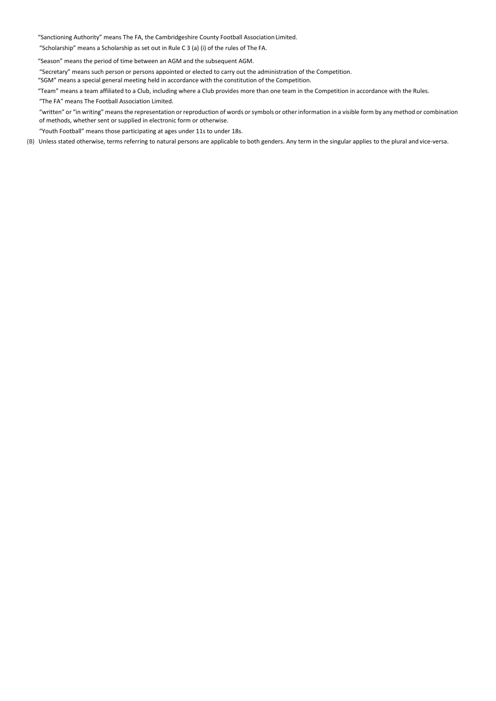"Sanctioning Authority" means The FA, the Cambridgeshire County Football AssociationLimited.

"Scholarship" means a Scholarship as set out in Rule C 3 (a) (i) of the rules of The FA.

"Season" means the period of time between an AGM and the subsequent AGM.

"Secretary" means such person or persons appointed or elected to carry out the administration of the Competition.

"SGM" means a special general meeting held in accordance with the constitution of the Competition.

"Team" means a team affiliated to a Club, including where a Club provides more than one team in the Competition in accordance with the Rules.

"The FA" means The Football Association Limited.

"written" or "in writing" means the representation or reproduction of words or symbols or other information in a visible form by any method or combination of methods, whether sent or supplied in electronic form or otherwise.

"Youth Football" means those participating at ages under 11s to under 18s.

(B) Unless stated otherwise, terms referring to natural persons are applicable to both genders. Any term in the singular applies to the plural and vice-versa.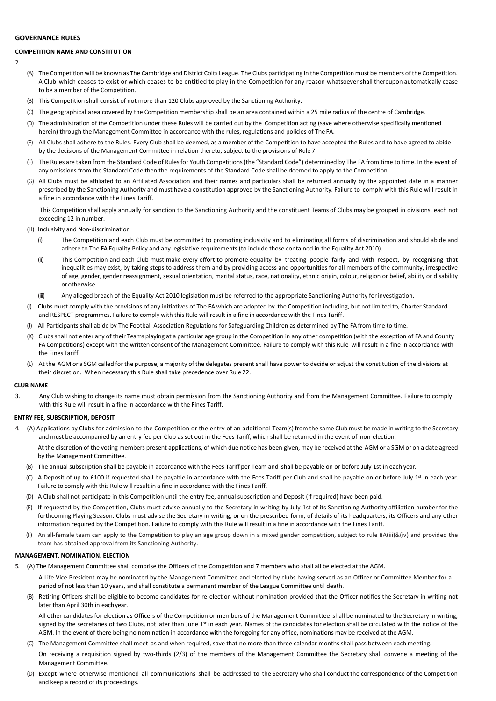# **GOVERNANCE RULES**

# **COMPETITION NAME AND CONSTITUTION**

- $\overline{2}$
- (A) The Competition will be known as The Cambridge and District Colts League. The Clubs participating in the Competition must be members of the Competition. A Club which ceases to exist or which ceases to be entitled to play in the Competition for any reason whatsoever shall thereupon automatically cease to be a member of the Competition.
- (B) This Competition shall consist of not more than 120 Clubs approved by the Sanctioning Authority.
- (C) The geographical area covered by the Competition membership shall be an area contained within a 25 mile radius of the centre of Cambridge.
- (D) The administration of the Competition under these Rules will be carried out by the Competition acting (save where otherwise specifically mentioned herein) through the Management Committee in accordance with the rules, regulations and policies of The FA.
- (E) All Clubs shall adhere to the Rules. Every Club shall be deemed, as a member of the Competition to have accepted the Rules and to have agreed to abide by the decisions of the Management Committee in relation thereto, subject to the provisions of Rule 7.
- (F) The Rules are taken from the Standard Code of Rules for Youth Competitions (the "Standard Code") determined by The FA from time to time. In the event of any omissions from the Standard Code then the requirements of the Standard Code shall be deemed to apply to the Competition.
- (G) All Clubs must be affiliated to an Affiliated Association and their names and particulars shall be returned annually by the appointed date in a manner prescribed by the Sanctioning Authority and must have a constitution approved by the Sanctioning Authority. Failure to comply with this Rule will result in a fine in accordance with the Fines Tariff.

This Competition shall apply annually for sanction to the Sanctioning Authority and the constituent Teams of Clubs may be grouped in divisions, each not exceeding 12 in number.

- (H) Inclusivity and Non-discrimination
	- (i) The Competition and each Club must be committed to promoting inclusivity and to eliminating all forms of discrimination and should abide and adhere to The FA Equality Policy and any legislative requirements (to include those contained in the Equality Act 2010).
	- (ii) This Competition and each Club must make every effort to promote equality by treating people fairly and with respect, by recognising that inequalities may exist, by taking steps to address them and by providing access and opportunities for all members of the community, irrespective of age, gender, gender reassignment, sexual orientation, marital status, race, nationality, ethnic origin, colour, religion or belief, ability or disability orotherwise.
	- Any alleged breach of the Equality Act 2010 legislation must be referred to the appropriate Sanctioning Authority for investigation.
- (I) Clubs must comply with the provisions of any initiatives of The FA which are adopted by the Competition including, but not limited to, Charter Standard and RESPECT programmes. Failure to comply with this Rule will result in a fine in accordance with the Fines Tariff.
- (J) All Participants shall abide by The Football Association Regulations for Safeguarding Children as determined by The FA from time to time.
- (K) Clubsshall not enter any of their Teams playing at a particular age group in the Competition in any other competition (with the exception of FA and County FA Competitions) except with the written consent of the Management Committee. Failure to comply with this Rule will result in a fine in accordance with the FinesTariff.
- (L) At the AGM or a SGM called for the purpose, a majority of the delegates present shall have power to decide or adjust the constitution of the divisions at their discretion. When necessary this Rule shall take precedence over Rule 22.

### **CLUB NAME**

3. Any Club wishing to change its name must obtain permission from the Sanctioning Authority and from the Management Committee. Failure to comply with this Rule will result in a fine in accordance with the Fines Tariff.

#### **ENTRY FFE, SUBSCRIPTION, DEPOSIT**

4. (A) Applications by Clubs for admission to the Competition or the entry of an additional Team(s) from the same Club must be made in writing to the Secretary and must be accompanied by an entry fee per Club as set out in the Fees Tariff, which shall be returned in the event of non-election.

At the discretion of the voting members present applications, of which due notice has been given, may be received at the AGM or a SGM or on a date agreed by the Management Committee.

- (B) The annual subscription shall be payable in accordance with the Fees Tariff per Team and shall be payable on or before July 1st in each year.
- (C) A Deposit of up to £100 if requested shall be payable in accordance with the Fees Tariff per Club and shall be payable on or before July 1<sup>st</sup> in each year. Failure to comply with this Rule will result in a fine in accordance with the Fines Tariff.
- (D) A Club shall not participate in this Competition until the entry fee, annual subscription and Deposit (if required) have been paid.
- (E) If requested by the Competition, Clubs must advise annually to the Secretary in writing by July 1st of its Sanctioning Authority affiliation number for the forthcoming Playing Season. Clubs must advise the Secretary in writing, or on the prescribed form, of details of its headquarters, its Officers and any other information required by the Competition. Failure to comply with this Rule will result in a fine in accordance with the Fines Tariff.
- (F) An all-female team can apply to the Competition to play an age group down in a mixed gender competition, subject to rule 8A(iii)&(iv) and provided the team has obtained approval from its Sanctioning Authority.

# **MANAGEMENT, NOMINATION, ELECTION**

- 5. (A) The Management Committee shall comprise the Officers of the Competition and 7 members who shall all be elected at the AGM.
	- A Life Vice President may be nominated by the Management Committee and elected by clubs having served as an Officer or Committee Member for a period of not less than 10 years, and shall constitute a permanent member of the League Committee until death.
	- (B) Retiring Officers shall be eligible to become candidates for re-election without nomination provided that the Officer notifies the Secretary in writing not later than April 30th in eachyear.

All other candidates for election as Officers of the Competition or members of the Management Committee shall be nominated to the Secretary in writing, signed by the secretaries of two Clubs, not later than June 1<sup>st</sup> in each year. Names of the candidates for election shall be circulated with the notice of the AGM. In the event of there being no nomination in accordance with the foregoing for any office, nominations may be received at the AGM.

(C) The Management Committee shall meet as and when required, save that no more than three calendar months shall pass between each meeting.

On receiving a requisition signed by two-thirds (2/3) of the members of the Management Committee the Secretary shall convene a meeting of the Management Committee.

(D) Except where otherwise mentioned all communications shall be addressed to the Secretary who shall conduct the correspondence of the Competition and keep a record of its proceedings.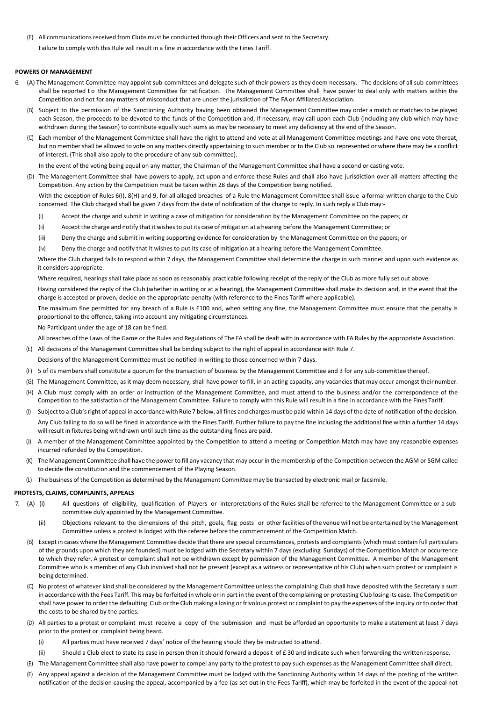(E) All communicationsreceived from Clubs must be conducted through their Officers and sent to the Secretary. Failure to comply with this Rule will result in a fine in accordance with the Fines Tariff.

### **POWERS OF MANAGEMENT**

- 6. (A) The Management Committee may appoint sub-committees and delegate such of their powers as they deem necessary. The decisions of all sub-committees shall be reported to the Management Committee for ratification. The Management Committee shall have power to deal only with matters within the Competition and not for any matters of misconduct that are under the jurisdiction of The FA or Affiliated Association.
	- (B) Subject to the permission of the Sanctioning Authority having been obtained the Management Committee may order a match or matches to be played each Season, the proceeds to be devoted to the funds of the Competition and, if necessary, may call upon each Club (including any club which may have withdrawn during the Season) to contribute equally such sums as may be necessary to meet any deficiency at the end of the Season.
	- (C) Each member of the Management Committee shall have the right to attend and vote at all Management Committee meetings and have one vote thereat, but no member shall be allowed to vote on any matters directly appertaining to such member or to the Club so represented or where there may be a conflict of interest. (This shall also apply to the procedure of any sub-committee).

In the event of the voting being equal on any matter, the Chairman of the Management Committee shall have a second or casting vote.

(D) The Management Committee shall have powers to apply, act upon and enforce these Rules and shall also have jurisdiction over all matters affecting the Competition. Any action by the Competition must be taken within 28 days of the Competition being notified.

With the exception of Rules 6(I), 8(H) and 9, for all alleged breaches of a Rule the Management Committee shall issue a formal written charge to the Club concerned. The Club charged shall be given 7 days from the date of notification of the charge to reply. In such reply a Club may:-

- (i) Accept the charge and submit in writing a case of mitigation for consideration by the Management Committee on the papers; or
- (ii) Accept the charge and notify that it wishesto put its case of mitigation at a hearing before the Management Committee; or
- (iii) Deny the charge and submit in writing supporting evidence for consideration by the Management Committee on the papers; or
- (iv) Deny the charge and notify that it wishes to put its case of mitigation at a hearing before the Management Committee.

Where the Club charged fails to respond within 7 days, the Management Committee shall determine the charge in such manner and upon such evidence as it considers appropriate.

Where required, hearings shall take place as soon as reasonably practicable following receipt of the reply of the Club as more fully set out above.

Having considered the reply of the Club (whether in writing or at a hearing), the Management Committee shall make its decision and, in the event that the charge is accepted or proven, decide on the appropriate penalty (with reference to the Fines Tariff where applicable).

The maximum fine permitted for any breach of a Rule is £100 and, when setting any fine, the Management Committee must ensure that the penalty is proportional to the offence, taking into account any mitigating circumstances.

No Participant under the age of 18 can be fined.

All breaches of the Laws of the Game or the Rules and Regulations of The FA shall be dealt with in accordance with FA Rules by the appropriate Association.

- (E) All decisions of the Management Committee shall be binding subject to the right of appeal in accordance with Rule 7.
- Decisions of the Management Committee must be notified in writing to those concerned within 7 days.
- (F) 5 of its members shall constitute a quorum for the transaction of business by the Management Committee and 3 for any sub-committee thereof.
- (G) The Management Committee, as it may deem necessary, shall have power to fill, in an acting capacity, any vacancies that may occur amongst theirnumber.
- (H) A Club must comply with an order or instruction of the Management Committee, and must attend to the business and/or the correspondence of the Competition to the satisfaction of the Management Committee. Failure to comply with this Rule will result in a fine in accordance with the Fines Tariff.
- (I) Subjectto a Club'sright of appeal in accordance with Rule 7 below, all fines and charges must be paid within 14 days of the date of notification of the decision. Any Club failing to do so will be fined in accordance with the Fines Tariff. Further failure to pay the fine including the additional fine within a further 14 days will result in fixtures being withdrawn until such time as the outstanding fines are paid.
- (J) A member of the Management Committee appointed by the Competition to attend a meeting or Competition Match may have any reasonable expenses incurred refunded by the Competition.
- (K) The Management Committee shall have the power to fill any vacancy that may occurin the membership of the Competition between the AGM or SGM called to decide the constitution and the commencement of the Playing Season.
- (L) The business of the Competition as determined by the Management Committee may be transacted by electronic mail or facsimile.

### **PROTESTS, CLAIMS, COMPLAINTS, APPEALS**

- 7. (A) (i) All questions of eligibility, qualification of Players or interpretations of the Rules shall be referred to the Management Committee or a subcommittee duly appointed by the Management Committee.
	- (ii) Objections relevant to the dimensions of the pitch, goals, flag posts or other facilities of the venue will not be entertained by the Management Committee unless a protest is lodged with the referee before the commencement of the Competition Match.
	- (B) Except in cases where the Management Committee decide that there are special circumstances, protests and complaints (which must contain full particulars of the grounds upon which they are founded) must be lodged with the Secretary within 7 days (excluding Sundays) of the Competition Match or occurrence to which they refer. A protest or complaint shall not be withdrawn except by permission of the Management Committee. A member of the Management Committee who is a member of any Club involved shall not be present (except as a witness or representative of his Club) when such protest or complaint is being determined.
	- (C) No protest of whatever kind shall be considered by the Management Committee unlessthe complaining Club shall have deposited with the Secretary a sum in accordance with the Fees Tariff. This may be forfeited in whole or in part in the event of the complaining or protesting Club losing its case. The Competition shall have power to order the defaulting Club orthe Club making a losing or frivolous protest or complaint to pay the expenses of the inquiry or to order that the costs to be shared by the parties.
	- (D) All parties to a protest or complaint must receive a copy of the submission and must be afforded an opportunity to make a statement at least 7 days prior to the protest or complaint being heard.
		- (i) All parties must have received 7 days' notice of the hearing should they be instructed to attend.
		- (ii) Should a Club elect to state its case in person then it should forward a deposit of £ 30 and indicate such when forwarding the written response.
	- (E) The Management Committee shall also have power to compel any party to the protest to pay such expenses as the Management Committee shall direct.
	- (F) Any appeal against a decision of the Management Committee must be lodged with the Sanctioning Authority within 14 days of the posting of the written notification of the decision causing the appeal, accompanied by a fee (as set out in the Fees Tariff), which may be forfeited in the event of the appeal not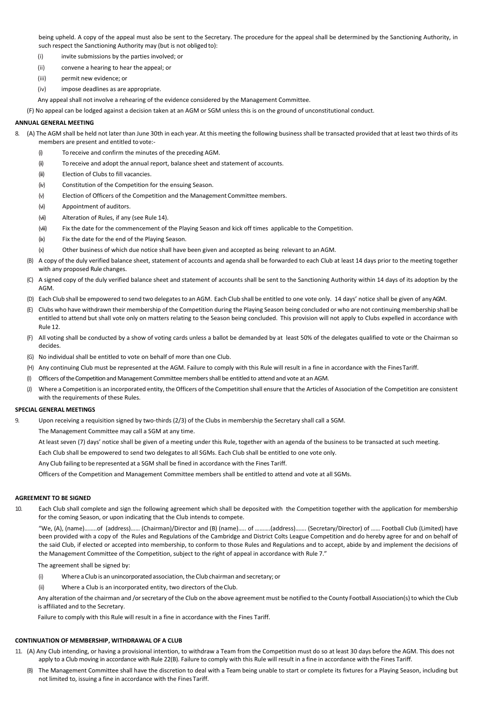being upheld. A copy of the appeal must also be sent to the Secretary. The procedure for the appeal shall be determined by the Sanctioning Authority, in such respect the Sanctioning Authority may (but is not obliged to):

(i) invite submissions by the parties involved; or

- (ii) convene a hearing to hear the appeal; or
- (iii) permit new evidence; or
- (iv) impose deadlines as are appropriate.

Any appeal shall not involve a rehearing of the evidence considered by the Management Committee.

(F) No appeal can be lodged against a decision taken at an AGM or SGM unless this is on the ground of unconstitutional conduct.

# **ANNUAL GENERAL MEETING**

- 8. (A) The AGM shall be held not later than June 30th in each year. At this meeting the following business shall be transacted provided that at least two thirds of its members are present and entitled to vote:-
	- (i) To receive and confirm the minutes of the preceding AGM.
	- (ii) To receive and adopt the annual report, balance sheet and statement of accounts.
	- (iii) Election of Clubs to fill vacancies.
	- (iv) Constitution of the Competition for the ensuing Season.
	- (v) Election of Officers of the Competition and the Management Committee members.
	- (vi) Appointment of auditors.
	- (vii) Alteration of Rules, if any (see Rule 14).
	- (viii) Fix the date for the commencement of the Playing Season and kick off times applicable to the Competition.
	- (ix) Fix the date for the end of the Playing Season.
	- (x) Other business of which due notice shall have been given and accepted as being relevant to an AGM.
	- (B) A copy of the duly verified balance sheet, statement of accounts and agenda shall be forwarded to each Club at least 14 days prior to the meeting together with any proposed Rule changes.
	- (C) A signed copy of the duly verified balance sheet and statement of accounts shall be sent to the Sanctioning Authority within 14 days of its adoption by the AGM.
	- (D) Each Club shall be empowered to send two delegatesto an AGM. Each Club shall be entitled to one vote only. 14 days' notice shall be given of anyAGM.
	- (E) Clubs who have withdrawn their membership of the Competition during the Playing Season being concluded or who are not continuing membership shall be entitled to attend but shall vote only on matters relating to the Season being concluded. This provision will not apply to Clubs expelled in accordance with Rule 12.
	- (F) All voting shall be conducted by a show of voting cards unless a ballot be demanded by at least 50% of the delegates qualified to vote or the Chairman so decides.
	- (G) No individual shall be entitled to vote on behalf of more than one Club.
	- (H) Any continuing Club must be represented at the AGM. Failure to comply with this Rule will result in a fine in accordance with the FinesTariff.
	- (I) Officers of the Competition and Management Committeemembersshall be entitled to attend and vote at an AGM.
	- (J) Where a Competition is an incorporated entity, the Officers of the Competition shall ensure that the Articles of Association of the Competition are consistent with the requirements of these Rules.

### **SPECIAL GENERAL MEETINGS**

Upon receiving a requisition signed by two-thirds (2/3) of the Clubs in membership the Secretary shall call a SGM.

The Management Committee may call a SGM at any time.

At least seven (7) days' notice shall be given of a meeting under this Rule, together with an agenda of the business to be transacted at such meeting.

Each Club shall be empowered to send two delegates to all SGMs. Each Club shall be entitled to one vote only.

Any Club failing to be represented at a SGM shall be fined in accordance with the Fines Tariff.

Officers of the Competition and Management Committee members shall be entitled to attend and vote at all SGMs.

### **AGREEMENT TO BE SIGNED**

10. Each Club shall complete and sign the following agreement which shall be deposited with the Competition together with the application for membership for the coming Season, or upon indicating that the Club intends to compete.

"We, (A), (name)……..of (address)…… (Chairman)/Director and (B) (name)….. of ……….(address)……. (Secretary/Director) of …… Football Club (Limited) have been provided with a copy of the Rules and Regulations of the Cambridge and District Colts League Competition and do hereby agree for and on behalf of the said Club, if elected or accepted into membership, to conform to those Rules and Regulations and to accept, abide by and implement the decisions of the Management Committee of the Competition, subject to the right of appeal in accordance with Rule 7."

The agreement shall be signed by:

- (i) Where a Club is an unincorporated association, the Club chairman and secretary; or
- (ii) Where a Club is an incorporated entity, two directors of the Club.

Any alteration of the chairman and /orsecretary of the Club on the above agreement must be notified to the County Football Association(s) to which the Club is affiliated and to the Secretary.

Failure to comply with this Rule will result in a fine in accordance with the Fines Tariff.

# **CONTINUATION OF MEMBERSHIP, WITHDRAWAL OF A CLUB**

- 11. (A) Any Club intending, or having a provisional intention, to withdraw a Team from the Competition must do so at least 30 days before the AGM. This does not apply to a Club moving in accordance with Rule 22(B). Failure to comply with this Rule will result in a fine in accordance with the Fines Tariff.
	- (B) The Management Committee shall have the discretion to deal with a Team being unable to start or complete its fixtures for a Playing Season, including but not limited to, issuing a fine in accordance with the Fines Tariff.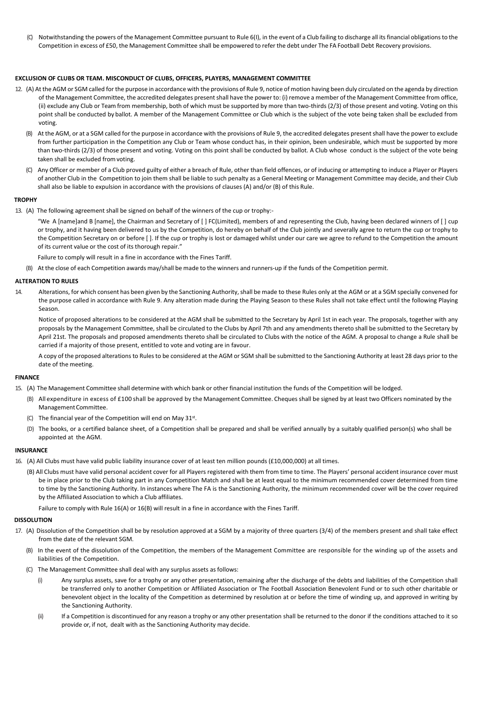(C) Notwithstanding the powers of the Management Committee pursuant to Rule 6(I), in the event of a Club failing to discharge all itsfinancial obligationsto the Competition in excess of £50, the Management Committee shall be empowered to refer the debt under The FA Football Debt Recovery provisions.

### **EXCLUSION OF CLUBS OR TEAM. MISCONDUCT OF CLUBS, OFFICERS, PLAYERS, MANAGEMENT COMMITTEE**

- 12. (A) At the AGM or SGM called for the purpose in accordance with the provisions of Rule 9, notice of motion having been duly circulated on the agenda by direction of the Management Committee, the accredited delegates present shall have the power to: (i) remove a member of the Management Committee from office, (ii) exclude any Club or Team from membership, both of which must be supported by more than two-thirds (2/3) of those present and voting. Voting on this point shall be conducted by ballot. A member of the Management Committee or Club which is the subject of the vote being taken shall be excluded from voting.
	- (B) At the AGM, or at a SGM called for the purpose in accordance with the provisions of Rule 9, the accredited delegates present shall have the power to exclude from further participation in the Competition any Club or Team whose conduct has, in their opinion, been undesirable, which must be supported by more than two-thirds (2/3) of those present and voting. Voting on this point shall be conducted by ballot. A Club whose conduct is the subject of the vote being taken shall be excluded fromvoting.
	- (C) Any Officer or member of a Club proved guilty of either a breach of Rule, other than field offences, or of inducing or attempting to induce a Player or Players of another Club in the Competition to join them shall be liable to such penalty as a General Meeting or Management Committee may decide, and their Club shall also be liable to expulsion in accordance with the provisions of clauses (A) and/or (B) of this Rule.

#### **TROPHY**

13. (A) The following agreement shall be signed on behalf of the winners of the cup or trophy:-

"We A [name]and B [name], the Chairman and Secretary of [ ] FC(Limited), members of and representing the Club, having been declared winners of [ ] cup or trophy, and it having been delivered to us by the Competition, do hereby on behalf of the Club jointly and severally agree to return the cup or trophy to the Competition Secretary on or before [ ]. If the cup or trophy is lost or damaged whilst under our care we agree to refund to the Competition the amount of its current value or the cost of its thorough repair."

Failure to comply will result in a fine in accordance with the Fines Tariff.

(B) At the close of each Competition awards may/shall be made to the winners and runners-up if the funds of the Competition permit.

### **ALTERATION TO RULES**

14. Alterations, for which consent has been given by the Sanctioning Authority,shall be made to these Rules only at the AGM or at a SGM specially convened for the purpose called in accordance with Rule 9. Any alteration made during the Playing Season to these Rules shall not take effect until the following Playing Season.

Notice of proposed alterations to be considered at the AGM shall be submitted to the Secretary by April 1st in each year. The proposals, together with any proposals by the Management Committee, shall be circulated to the Clubs by April 7th and any amendments thereto shall be submitted to the Secretary by April 21st. The proposals and proposed amendments thereto shall be circulated to Clubs with the notice of the AGM. A proposal to change a Rule shall be carried if a majority of those present, entitled to vote and voting are in favour.

A copy of the proposed alterations to Rules to be considered at the AGM or SGM shall be submitted to the Sanctioning Authority at least 28 days prior to the date of the meeting.

#### **FINANCE**

- 15. (A) The Management Committee shall determine with which bank or other financial institution the funds of the Competition will be lodged.
	- (B) All expenditure in excess of £100 shall be approved by the Management Committee. Cheques shall be signed by at least two Officers nominated by the ManagementCommittee.
	- (C) The financial year of the Competition will end on May  $31^{st}$ .
	- (D) The books, or a certified balance sheet, of a Competition shall be prepared and shall be verified annually by a suitably qualified person(s) who shall be appointed at the AGM.

### **INSURANCE**

- 16. (A) All Clubs must have valid public liability insurance cover of at least ten million pounds (£10,000,000) at all times.
	- (B) All Clubs must have valid personal accident cover for all Players registered with them from time to time. The Players' personal accident insurance cover must be in place prior to the Club taking part in any Competition Match and shall be at least equal to the minimum recommended cover determined from time to time by the Sanctioning Authority. In instances where The FA is the Sanctioning Authority, the minimum recommended cover will be the cover required by the Affiliated Association to which a Club affiliates.

Failure to comply with Rule 16(A) or 16(B) will result in a fine in accordance with the Fines Tariff.

#### **DISSOLUTION**

- 17. (A) Dissolution of the Competition shall be by resolution approved at a SGM by a majority of three quarters (3/4) of the members present and shall take effect from the date of the relevant SGM.
	- (B) In the event of the dissolution of the Competition, the members of the Management Committee are responsible for the winding up of the assets and liabilities of the Competition.
	- (C) The Management Committee shall deal with any surplus assets as follows:
		- (i) Any surplus assets, save for a trophy or any other presentation, remaining after the discharge of the debts and liabilities of the Competition shall be transferred only to another Competition or Affiliated Association or The Football Association Benevolent Fund or to such other charitable or benevolent object in the locality of the Competition as determined by resolution at or before the time of winding up, and approved in writing by the Sanctioning Authority.
		- (ii) If a Competition is discontinued for any reason a trophy or any other presentation shall be returned to the donor if the conditions attached to it so provide or, if not, dealt with as the Sanctioning Authority may decide.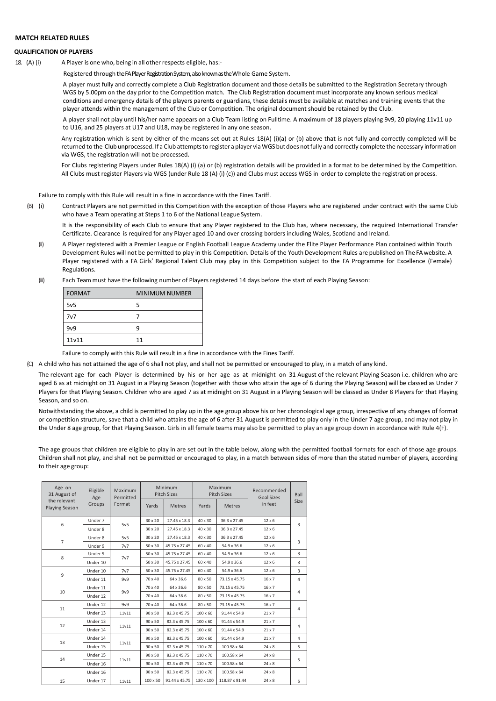# **MATCH RELATED RULES**

# **QUALIFICATION OF PLAYERS**

18. (A) (i) A Player is one who, being in all other respects eligible, has:-

Registered through the FA Player Registration System, also known asthe Whole Game System.

A player must fully and correctly complete a Club Registration document and those details be submitted to the Registration Secretary through WGS by 5.00pm on the day prior to the Competition match. The Club Registration document must incorporate any known serious medical conditions and emergency details of the players parents or guardians, these details must be available at matches and training events that the player attends within the management of the Club or Competition. The original document should be retained by the Club.

A player shall not play until his/her name appears on a Club Team listing on Fulltime. A maximum of 18 players playing 9v9, 20 playing 11v11 up to U16, and 25 players at U17 and U18, may be registered in any one season.

Any registration which is sent by either of the means set out at Rules 18(A) (i)(a) or (b) above that is not fully and correctly completed will be returned to the Club unprocessed. If a Club attemptsto register a player via WGS butdoes notfully and correctly complete the necessary information via WGS, the registration will not be processed.

For Clubs registering Players under Rules 18(A) (i) (a) or (b) registration details will be provided in a format to be determined by the Competition. All Clubs must register Players via WGS (under Rule 18 (A) (i) (c)) and Clubs must access WGS in order to complete the registration process.

Failure to comply with this Rule will result in a fine in accordance with the Fines Tariff.

(B) (i) Contract Players are not permitted in this Competition with the exception of those Players who are registered under contract with the same Club who have a Team operating at Steps 1 to 6 of the National League System.

It is the responsibility of each Club to ensure that any Player registered to the Club has, where necessary, the required International Transfer Certificate. Clearance is required for any Player aged 10 and over crossing borders including Wales, Scotland and Ireland.

- (ii) A Player registered with a Premier League or English Football League Academy under the Elite Player Performance Plan contained within Youth Development Rules will not be permitted to play in this Competition. Details of the Youth Development Rules are published on The FAwebsite. A Player registered with a FA Girls' Regional Talent Club may play in this Competition subject to the FA Programme for Excellence (Female) Regulations.
- (iii) Each Team must have the following number of Players registered 14 days before the start of each Playing Season:

| <b>FORMAT</b>   | <b>MINIMUM NUMBER</b> |
|-----------------|-----------------------|
| 5v <sub>5</sub> | 5                     |
| 7v7             |                       |
| 9v9             | 9                     |
| 11v11           | 11                    |

Failure to comply with this Rule will result in a fine in accordance with the Fines Tariff.

(C) A child who has not attained the age of 6 shall not play, and shall not be permitted or encouraged to play, in a match of any kind.

The relevant age for each Player is determined by his or her age as at midnight on 31 August of the relevant Playing Season i.e. children who are aged 6 as at midnight on 31 August in a Playing Season (together with those who attain the age of 6 during the Playing Season) will be classed as Under 7 Players for that Playing Season. Children who are aged 7 as at midnight on 31 August in a Playing Season will be classed as Under 8 Players for that Playing Season, and so on.

Notwithstanding the above, a child is permitted to play up in the age group above his or her chronological age group, irrespective of any changes of format or competition structure, save that a child who attains the age of 6 after 31 August is permitted to play only in the Under 7 age group, and may not play in the Under 8 age group, for that Playing Season. Girls in all female teams may also be permitted to play an age group down in accordance with Rule 4(F).

The age groups that children are eligible to play in are set out in the table below, along with the permitted football formats for each of those age groups. Children shall not play, and shall not be permitted or encouraged to play, in a match between sides of more than the stated number of players, according to their age group:

| Age on<br>31 August of         | Eligible<br>Age | Maximum<br>Permitted | Minimum<br><b>Pitch Sizes</b> |               | Maximum<br><b>Pitch Sizes</b> |                | Recommended<br><b>Goal Sizes</b> | Ball           |
|--------------------------------|-----------------|----------------------|-------------------------------|---------------|-------------------------------|----------------|----------------------------------|----------------|
| the relevant<br>Playing Season | Groups          | Format               | Yards                         | <b>Metres</b> | Yards                         | <b>Metres</b>  | in feet                          | Size           |
|                                | Under 7         | 5v5                  | $30 \times 20$                | 27.45 x 18.3  | 40 x 30                       | 36.3 x 27.45   | $12 \times 6$                    | 3              |
| 6                              | Under 8         |                      | $30 \times 20$                | 27.45 x 18.3  | 40 x 30                       | 36.3 x 27.45   | $12 \times 6$                    |                |
|                                | Under 8         | 5v5                  | 30 x 20                       | 27.45 x 18.3  | 40 x 30                       | 36.3 x 27.45   | $12 \times 6$                    |                |
| $\overline{7}$                 | Under 9         | 7v7                  | 50 x 30                       | 45.75 x 27.45 | 60 x 40                       | 54.9 x 36.6    | $12 \times 6$                    | 3              |
| 8                              | Under 9         | 7v7                  | 50 x 30                       | 45.75 x 27.45 | 60 x 40                       | 54.9 x 36.6    | $12 \times 6$                    | 3              |
|                                | Under 10        |                      | $50 \times 30$                | 45.75 x 27.45 | 60 x 40                       | 54.9 x 36.6    | $12 \times 6$                    | 3              |
|                                | Under 10        | 7v7                  | 50 x 30                       | 45.75 x 27.45 | 60 x 40                       | 54.9 x 36.6    | $12 \times 6$                    | 3              |
| 9                              | Under 11        | 9v9                  | 70 x 40                       | 64 x 36.6     | 80 x 50                       | 73.15 x 45.75  | $16 \times 7$                    | $\overline{4}$ |
| 10                             | Under 11        | 9v9                  | 70 x 40                       | 64 x 36.6     | 80 x 50                       | 73.15 x 45.75  | $16 \times 7$                    |                |
|                                | Under 12        |                      | $70 \times 40$                | 64 x 36.6     | 80 x 50                       | 73.15 x 45.75  | $16 \times 7$                    | 4              |
|                                | Under 12        | 9v9                  | 70 x 40                       | 64 x 36.6     | 80 x 50                       | 73.15 x 45.75  | $16 \times 7$                    |                |
| 11                             | Under 13        | 11v11                | $90 \times 50$                | 82.3 x 45.75  | $100 \times 60$               | 91.44 x 54.9   | $21 \times 7$                    | 4              |
|                                | Under 13        |                      | $90 \times 50$                | 82.3 x 45.75  | $100 \times 60$               | 91.44 x 54.9   | $21 \times 7$                    |                |
| 12                             | Under 14        | 11v11                | 90 x 50                       | 82.3 x 45.75  | $100 \times 60$               | 91.44 x 54.9   | $21 \times 7$                    | 4              |
|                                | Under 14        |                      | $90 \times 50$                | 82.3 x 45.75  | $100 \times 60$               | 91.44 x 54.9   | $21 \times 7$                    | 4              |
| 13                             | Under 15        | 11v11                | $90 \times 50$                | 82.3 x 45.75  | 110 x 70                      | 100.58 x 64    | $24 \times 8$                    | 5              |
|                                | Under 15        |                      | 90 x 50                       | 82.3 x 45.75  | 110 x 70                      | 100.58 x 64    | $24 \times 8$                    |                |
| 14                             | Under 16        | 11v11                | 90 x 50                       | 82.3 x 45.75  | 110 x 70                      | 100.58 x 64    | $24 \times 8$                    | 5              |
|                                | Under 16        |                      | $90 \times 50$                | 82.3 x 45.75  | 110 x 70                      | 100.58 x 64    | $24 \times 8$                    |                |
| 15                             | Under 17        | 11v11                | 100 x 50                      | 91.44 x 45.75 | 130 x 100                     | 118.87 x 91.44 | $24 \times 8$                    | 5              |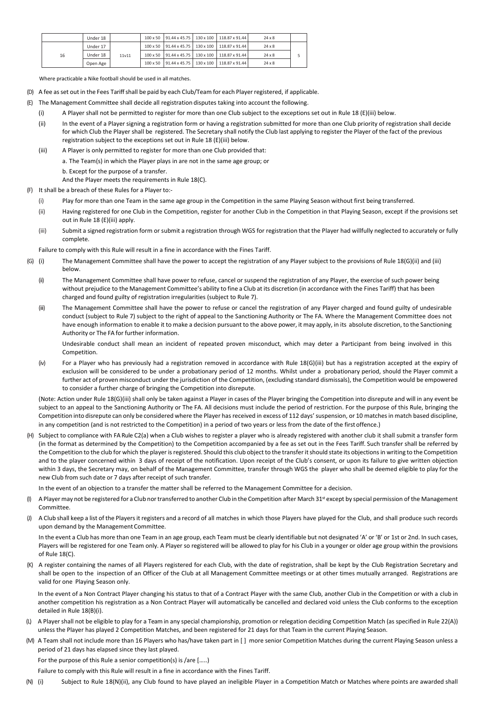|    | Under 18 |       |  | 100 x 50 91.44 x 45.75 3 130 x 100 1 118.87 x 91.44   | $24 \times 8$ |  |
|----|----------|-------|--|-------------------------------------------------------|---------------|--|
|    | Under 17 |       |  | 100 x 50   91.44 x 45.75   130 x 100   118.87 x 91.44 | $24 \times 8$ |  |
| 16 | Under 18 | 11v11 |  | 100 x 50   91.44 x 45.75   130 x 100   118.87 x 91.44 | $24 \times 8$ |  |
|    | Open Age |       |  | 100 x 50   91.44 x 45.75   130 x 100   118.87 x 91.44 | $24 \times 8$ |  |

Where practicable a Nike football should be used in all matches.

- (D) A fee asset out in the Fees Tariffshall be paid by each Club/Team for each Player registered, if applicable.
- (E) The Management Committee shall decide all registration disputes taking into account the following.
	- (i) A Player shall not be permitted to register for more than one Club subject to the exceptions set out in Rule 18 (E)(iii) below.
	- (ii) In the event of a Player signing a registration form or having a registration submitted for more than one Club priority of registration shall decide for which Club the Player shall be registered. The Secretary shall notify the Club last applying to register the Player of the fact of the previous registration subject to the exceptions set out in Rule 18 (E)(iii) below.
	- (iii) A Player is only permitted to register for more than one Club provided that:
		- a. The Team(s) in which the Player plays in are not in the same age group; or
		- b. Except for the purpose of a transfer.

And the Player meets the requirements in Rule 18(C).

- (F) It shall be a breach of these Rules for a Player to:-
	- (i) Play for more than one Team in the same age group in the Competition in the same Playing Season without first being transferred.
	- (ii) Having registered for one Club in the Competition, register for another Club in the Competition in that Playing Season, except if the provisions set out in Rule 18 (E)(iii) apply.
	- (iii) Submit a signed registration form or submit a registration through WGS for registration that the Player had willfully neglected to accurately or fully complete.

Failure to comply with this Rule will result in a fine in accordance with the Fines Tariff.

- (G) (i) The Management Committee shall have the power to accept the registration of any Player subject to the provisions of Rule 18(G)(ii) and (iii) below.
	- (ii) The Management Committee shall have power to refuse, cancel or suspend the registration of any Player, the exercise of such power being without prejudice to the Management Committee's ability to fine a Club at its discretion (in accordance with the Fines Tariff) that has been charged and found guilty of registration irregularities (subject to Rule 7).
	- (iii) The Management Committee shall have the power to refuse or cancel the registration of any Player charged and found guilty of undesirable conduct (subject to Rule 7) subject to the right of appeal to the Sanctioning Authority or The FA. Where the Management Committee does not have enough information to enable it to make a decision pursuant to the above power, it may apply, in its absolute discretion, to the Sanctioning Authority or The FA for further information.

Undesirable conduct shall mean an incident of repeated proven misconduct, which may deter a Participant from being involved in this Competition.

(iv) For a Player who has previously had a registration removed in accordance with Rule 18(G)(iii) but has a registration accepted at the expiry of exclusion will be considered to be under a probationary period of 12 months. Whilst under a probationary period, should the Player commit a further act of proven misconduct under the jurisdiction of the Competition, (excluding standard dismissals), the Competition would be empowered to consider a further charge of bringing the Competition into disrepute.

(Note: Action under Rule 18(G)(iii) shall only be taken against a Player in cases of the Player bringing the Competition into disrepute and will in any event be subject to an appeal to the Sanctioning Authority or The FA. All decisions must include the period of restriction. For the purpose of this Rule, bringing the Competition into disrepute can only be considered where the Player has received in excess of 112 days' suspension, or 10 matches in match based discipline, in any competition (and is not restricted to the Competition) in a period of two years or less from the date of the first offence.)

(H) Subject to compliance with FA Rule C2(a) when a Club wishes to register a player who is already registered with another club it shall submit a transfer form (in the format as determined by the Competition) to the Competition accompanied by a fee as set out in the Fees Tariff. Such transfer shall be referred by the Competition to the club for which the player is registered. Should this club object to the transfer it should state its objections in writing to the Competition and to the player concerned within 3 days of receipt of the notification. Upon receipt of the Club's consent, or upon its failure to give written objection within 3 days, the Secretary may, on behalf of the Management Committee, transfer through WGS the player who shall be deemed eligible to play for the new Club from such date or 7 days after receipt of such transfer.

In the event of an objection to a transfer the matter shall be referred to the Management Committee for a decision.

- A Player may not be registered for a Club nor transferred to another Club in the Competition after March 31st except by special permission of the Management Committee.
- A Club shall keep a list of the Players it registers and a record of all matches in which those Players have played for the Club, and shall produce such records upon demand by the Management Committee.

In the event a Club has more than one Team in an age group, each Team must be clearly identifiable but not designated 'A' or 'B' or 1st or 2nd. In such cases, Players will be registered for one Team only. A Player so registered will be allowed to play for his Club in a younger or older age group within the provisions of Rule 18(C).

A register containing the names of all Players registered for each Club, with the date of registration, shall be kept by the Club Registration Secretary and shall be open to the inspection of an Officer of the Club at all Management Committee meetings or at other times mutually arranged. Registrations are valid for one Playing Season only.

In the event of a Non Contract Player changing his status to that of a Contract Player with the same Club, another Club in the Competition or with a club in another competition his registration as a Non Contract Player will automatically be cancelled and declared void unless the Club conforms to the exception detailed in Rule 18(B)(i).

- (L) A Player shall not be eligible to play for a Team in any special championship, promotion or relegation deciding Competition Match (as specified in Rule 22(A)) unless the Player has played 2 Competition Matches, and been registered for 21 days for that Team in the current Playing Season.
- (M) A Team shall not include more than 16 Players who has/have taken part in [ ] more senior Competition Matches during the current Playing Season unless a period of 21 days has elapsed since they last played.

For the purpose of this Rule a senior competition(s) is /are […..)

Failure to comply with this Rule will result in a fine in accordance with the Fines Tariff.

(N) (i) Subject to Rule 18(N)(ii), any Club found to have played an ineligible Player in a Competition Match or Matches where points are awarded shall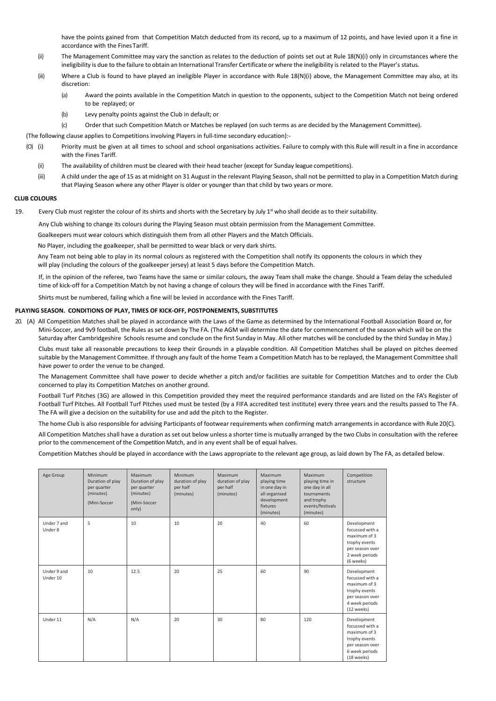have the points gained from that Competition Match deducted from its record, up to a maximum of 12 points, and have levied upon it a fine in accordance with the FinesTariff.

- (ii) The Management Committee may vary the sanction as relates to the deduction of points set out at Rule 18(N)(i) only in circumstances where the ineligibility is due to the failure to obtain an International Transfer Certificate or where the ineligibility is related to the Player's status.
- (iii) Where a Club is found to have played an ineligible Player in accordance with Rule 18(N)(i) above, the Management Committee may also, at its discretion:
	- (a) Award the points available in the Competition Match in question to the opponents, subject to the Competition Match not being ordered to be replayed; or
	- (b) Levy penalty points against the Club in default; or
	- (c) Order that such Competition Match or Matches be replayed (on such terms as are decided by the Management Committee).

(The following clause applies to Competitions involving Players in full-time secondary education):-

- (O) (i) Priority must be given at all times to school and school organisations activities. Failure to comply with this Rule will result in a fine in accordance with the Fines Tariff.
	- (ii) The availability of children must be cleared with their head teacher (except for Sunday league competitions).
	- (iii) A child under the age of 15 as at midnight on 31 August in the relevant Playing Season, shall not be permitted to play in a Competition Match during that Playing Season where any other Player is older or younger than that child by two years or more.

# **CLUB COLOURS**

19. Every Club must register the colour of its shirts and shorts with the Secretary by July  $1<sup>st</sup>$  who shall decide as to their suitability.

Any Club wishing to change its colours during the Playing Season must obtain permission from the Management Committee.

Goalkeepers must wear colours which distinguish them from all other Players and the Match Officials.

No Player, including the goalkeeper, shall be permitted to wear black or very dark shirts.

Any Team not being able to play in its normal colours as registered with the Competition shall notify its opponents the colours in which they will play (including the colours of the goalkeeper jersey) at least 5 days before the Competition Match.

If, in the opinion of the referee, two Teams have the same or similar colours, the away Team shall make the change. Should a Team delay the scheduled time of kick-off for a Competition Match by not having a change of colours they will be fined in accordance with the Fines Tariff.

Shirts must be numbered, failing which a fine will be levied in accordance with the Fines Tariff.

#### **PLAYING SEASON. CONDITIONS OF PLAY, TIMES OF KICK-OFF, POSTPONEMENTS, SUBSTITUTES**

20. (A) All Competition Matches shall be played in accordance with the Laws of the Game as determined by the International Football Association Board or, for Mini-Soccer, and 9v9 football, the Rules as set down by The FA. (The AGM will determine the date for commencement of the season which will be on the Saturday after Cambridgeshire Schools resume and conclude on the first Sunday in May. All other matches will be concluded by the third Sunday in May.)

Clubs must take all reasonable precautions to keep their Grounds in a playable condition. All Competition Matches shall be played on pitches deemed suitable by the Management Committee. If through any fault of the home Team a Competition Match has to be replayed, the Management Committee shall have power to order the venue to be changed.

The Management Committee shall have power to decide whether a pitch and/or facilities are suitable for Competition Matches and to order the Club concerned to play its Competition Matches on another ground.

Football Turf Pitches (3G) are allowed in this Competition provided they meet the required performance standards and are listed on the FA's Register of Football Turf Pitches. All Football Turf Pitches used must be tested (by a FIFA accredited test institute) every three years and the results passed to The FA. The FA will give a decision on the suitability for use and add the pitch to the Register.

The home Club is also responsible for advising Participants of footwear requirements when confirming match arrangements in accordance with Rule 20(C).

All Competition Matches shall have a duration as set out below unless a shorter time is mutually arranged by the two Clubs in consultation with the referee prior to the commencement of the Competition Match, and in any event shall be of equal halves.

Competition Matches should be played in accordance with the Laws appropriate to the relevant age group, as laid down by The FA, as detailed below.

| Age Group               | Minimum<br>Duration of play<br>per quarter<br>(minutes)<br>(Mini-Soccer | Maximum<br>Duration of play<br>per quarter<br>(minutes)<br>(Mini-Soccer<br>only) | Minimum<br>duration of play<br>per half<br>(minutes) | Maximum<br>duration of play<br>per half<br>(minutes) | Maximum<br>playing time<br>in one day in<br>all organised<br>development<br>fixtures<br>(minutes) | Maximum<br>playing time in<br>one day in all<br>tournaments<br>and trophy<br>events/festivals<br>(minutes) | Competition<br>structure                                                                                           |
|-------------------------|-------------------------------------------------------------------------|----------------------------------------------------------------------------------|------------------------------------------------------|------------------------------------------------------|---------------------------------------------------------------------------------------------------|------------------------------------------------------------------------------------------------------------|--------------------------------------------------------------------------------------------------------------------|
| Under 7 and<br>Under 8  | 5                                                                       | 10                                                                               | 10                                                   | 20                                                   | 40                                                                                                | 60                                                                                                         | Development<br>focussed with a<br>maximum of 3<br>trophy events<br>per season over<br>2 week periods<br>(6 weeks)  |
| Under 9 and<br>Under 10 | 10                                                                      | 12.5                                                                             | 20                                                   | 25                                                   | 60                                                                                                | 90                                                                                                         | Development<br>focussed with a<br>maximum of 3<br>trophy events<br>per season over<br>4 week periods<br>(12 weeks) |
| Under 11                | N/A                                                                     | N/A                                                                              | 20                                                   | 30                                                   | 80                                                                                                | 120                                                                                                        | Development<br>focussed with a<br>maximum of 3<br>trophy events<br>per season over<br>6 week periods<br>(18 weeks) |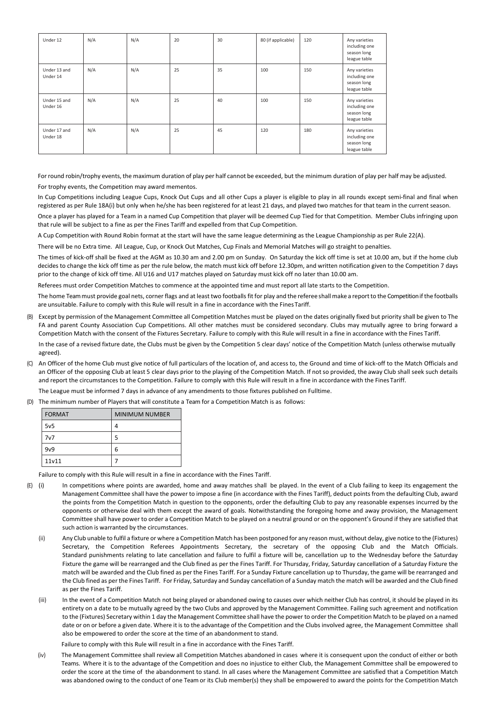| Under 12                 | N/A | N/A | 20 | 30 | 80 (if applicable) | 120 | Any varieties<br>including one<br>season long<br>league table |
|--------------------------|-----|-----|----|----|--------------------|-----|---------------------------------------------------------------|
| Under 13 and<br>Under 14 | N/A | N/A | 25 | 35 | 100                | 150 | Any varieties<br>including one<br>season long<br>league table |
| Under 15 and<br>Under 16 | N/A | N/A | 25 | 40 | 100                | 150 | Any varieties<br>including one<br>season long<br>league table |
| Under 17 and<br>Under 18 | N/A | N/A | 25 | 45 | 120                | 180 | Any varieties<br>including one<br>season long<br>league table |

Forround robin/trophy events, the maximum duration of play per half cannot be exceeded, but the minimum duration of play per half may be adjusted.

For trophy events, the Competition may award mementos.

In Cup Competitions including League Cups, Knock Out Cups and all other Cups a player is eligible to play in all rounds except semi-final and final when registered as per Rule 18A(i) but only when he/she has been registered for at least 21 days, and played two matches for that team in the current season.

Once a player has played for a Team in a named Cup Competition that player will be deemed Cup Tied for that Competition. Member Clubs infringing upon that rule will be subject to a fine as per the Fines Tariff and expelled from that Cup Competition.

A Cup Competition with Round Robin format at the start will have the same league determining as the League Championship as per Rule 22(A).

There will be no Extra time. All League, Cup, or Knock Out Matches, Cup Finals and Memorial Matches will go straight to penalties.

The times of kick-off shall be fixed at the AGM as 10.30 am and 2.00 pm on Sunday. On Saturday the kick off time is set at 10.00 am, but if the home club decides to change the kick off time as per the rule below, the match must kick off before 12.30pm, and written notification given to the Competition 7 days prior to the change of kick off time. All U16 and U17 matches played on Saturday must kick off no later than 10.00 am.

Referees must order Competition Matches to commence at the appointed time and must report all late starts to the Competition.

The home Team must provide goal nets, corner flags and at least two footballs fit for play and the referee shall make a report to the Competition if the footballs are unsuitable. Failure to comply with this Rule will result in a fine in accordance with the Fines Tariff.

(B) Except by permission of the Management Committee all Competition Matches must be played on the dates originally fixed but priority shall be given to The FA and parent County Association Cup Competitions. All other matches must be considered secondary. Clubs may mutually agree to bring forward a Competition Match with the consent of the Fixtures Secretary. Failure to comply with this Rule will result in a fine in accordance with the Fines Tariff.

In the case of a revised fixture date, the Clubs must be given by the Competition 5 clear days' notice of the Competition Match (unless otherwise mutually agreed).

(C) An Officer of the home Club must give notice of full particulars of the location of, and access to, the Ground and time of kick-off to the Match Officials and an Officer of the opposing Club at least 5 clear days prior to the playing of the Competition Match. If not so provided, the away Club shall seek such details and report the circumstances to the Competition. Failure to comply with this Rule will result in a fine in accordance with the Fines Tariff.

The League must be informed 7 days in advance of any amendments to those fixtures published on Fulltime.

(D) The minimum number of Players that will constitute a Team for a Competition Match is as follows:

| <b>FORMAT</b>   | <b>MINIMUM NUMBER</b> |
|-----------------|-----------------------|
| 5v <sub>5</sub> | 4                     |
| 7v7             | 5                     |
| 9v9             | 6                     |
| 11v11           |                       |

Failure to comply with this Rule will result in a fine in accordance with the Fines Tariff.

- (E) (i) In competitions where points are awarded, home and away matches shall be played. In the event of a Club failing to keep its engagement the Management Committee shall have the power to impose a fine (in accordance with the Fines Tariff), deduct points from the defaulting Club, award the points from the Competition Match in question to the opponents, order the defaulting Club to pay any reasonable expenses incurred by the opponents or otherwise deal with them except the award of goals. Notwithstanding the foregoing home and away provision, the Management Committee shall have power to order a Competition Match to be played on a neutral ground or on the opponent's Ground if they are satisfied that such action is warranted by the circumstances.
	- (ii) Any Club unable to fulfil a fixture or where a Competition Match has been postponed for any reason must, without delay, give notice to the (Fixtures) Secretary, the Competition Referees Appointments Secretary, the secretary of the opposing Club and the Match Officials. Standard punishments relating to late cancellation and failure to fulfil a fixture will be, cancellation up to the Wednesday before the Saturday Fixture the game will be rearranged and the Club fined as per the Fines Tariff. For Thursday, Friday, Saturday cancellation of a Saturday Fixture the match will be awarded and the Club fined as per the Fines Tariff. For a Sunday Fixture cancellation up to Thursday, the game will be rearranged and the Club fined as per the Fines Tariff. For Friday, Saturday and Sunday cancellation of a Sunday match the match will be awarded and the Club fined as per the Fines Tariff.
	- (iii) In the event of a Competition Match not being played or abandoned owing to causes over which neither Club has control, it should be played in its entirety on a date to be mutually agreed by the two Clubs and approved by the Management Committee. Failing such agreement and notification to the (Fixtures) Secretary within 1 day the Management Committee shall have the power to order the Competition Match to be played on a named date or on or before a given date. Where it is to the advantage of the Competition and the Clubs involved agree, the Management Committee shall also be empowered to order the score at the time of an abandonment to stand.

Failure to comply with this Rule will result in a fine in accordance with the Fines Tariff.

(iv) The Management Committee shall review all Competition Matches abandoned in cases where it is consequent upon the conduct of either or both Teams. Where it is to the advantage of the Competition and does no injustice to either Club, the Management Committee shall be empowered to order the score at the time of the abandonment to stand. In all cases where the Management Committee are satisfied that a Competition Match was abandoned owing to the conduct of one Team or its Club member(s) they shall be empowered to award the points for the Competition Match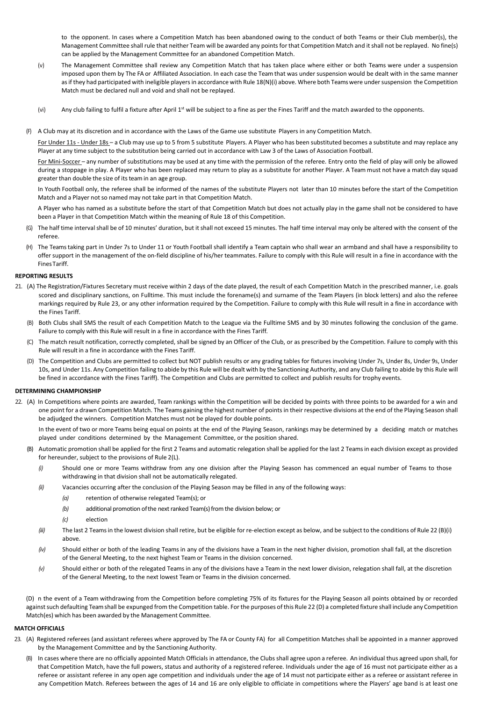to the opponent. In cases where a Competition Match has been abandoned owing to the conduct of both Teams or their Club member(s), the Management Committee shall rule that neither Team will be awarded any points for that Competition Match and it shall not be replayed. No fine(s) can be applied by the Management Committee for an abandoned Competition Match.

- (v) The Management Committee shall review any Competition Match that has taken place where either or both Teams were under a suspension imposed upon them by The FA or Affiliated Association. In each case the Team that was under suspension would be dealt with in the same manner as if they had participated with ineligible players in accordance with Rule 18(N)(i) above. Where both Teams were under suspension the Competition Match must be declared null and void and shall not be replayed.
- (vi) Any club failing to fulfil a fixture after April 1<sup>st</sup> will be subject to a fine as per the Fines Tariff and the match awarded to the opponents.
- (F) A Club may at its discretion and in accordance with the Laws of the Game use substitute Players in any Competition Match.

For Under 11s - Under 18s – a Club may use up to 5 from 5 substitute Players. A Player who has been substituted becomes a substitute and may replace any Player at any time subject to the substitution being carried out in accordance with Law 3 of the Laws of Association Football.

For Mini-Soccer - any number of substitutions may be used at any time with the permission of the referee. Entry onto the field of play will only be allowed during a stoppage in play. A Player who has been replaced may return to play as a substitute for another Player. A Team must not have a match day squad greater than double the size of its team in an age group.

In Youth Football only, the referee shall be informed of the names of the substitute Players not later than 10 minutes before the start of the Competition Match and a Player not so named may not take part in that Competition Match.

A Player who has named as a substitute before the start of that Competition Match but does not actually play in the game shall not be considered to have been a Player in that Competition Match within the meaning of Rule 18 of this Competition.

- (G) The half time intervalshall be of 10 minutes' duration, but itshall not exceed 15 minutes. The half time interval may only be altered with the consent of the referee.
- (H) The Teams taking part in Under 7s to Under 11 or Youth Football shall identify a Team captain who shall wear an armband and shall have a responsibility to offer support in the management of the on-field discipline of his/her teammates. Failure to comply with this Rule will result in a fine in accordance with the FinesTariff.

# **REPORTING RESULTS**

- 21. (A) The Registration/Fixtures Secretary must receive within 2 days of the date played, the result of each Competition Match in the prescribed manner, i.e. goals scored and disciplinary sanctions, on Fulltime. This must include the forename(s) and surname of the Team Players (in block letters) and also the referee markings required by Rule 23, or any other information required by the Competition. Failure to comply with this Rule will result in a fine in accordance with the Fines Tariff.
	- (B) Both Clubs shall SMS the result of each Competition Match to the League via the Fulltime SMS and by 30 minutes following the conclusion of the game. Failure to comply with this Rule will result in a fine in accordance with the Fines Tariff*.*
	- (C) The match result notification, correctly completed, shall be signed by an Officer of the Club, or as prescribed by the Competition. Failure to comply with this Rule will result in a fine in accordance with the Fines Tariff.
	- (D) The Competition and Clubs are permitted to collect but NOT publish results or any grading tables for fixtures involving Under 7s, Under 8s, Under 9s, Under 9s, Under 10s, and Under 11s. Any Competition failing to abide by this Rule will be dealt with by the Sanctioning Authority, and any Club failing to abide by this Rule will be fined in accordance with the Fines Tariff). The Competition and Clubs are permitted to collect and publish results for trophy events.

# **DETERMINING CHAMPIONSHIP**

22. (A) In Competitions where points are awarded, Team rankings within the Competition will be decided by points with three points to be awarded for a win and one point for a drawn Competition Match. The Teams gaining the highest number of points in their respective divisions at the end of the Playing Season shall be adjudged the winners. Competition Matches must not be played for double points.

In the event of two or more Teams being equal on points at the end of the Playing Season, rankings may be determined by a deciding match or matches played under conditions determined by the Management Committee, or the position shared.

- (B) Automatic promotion shall be applied for the first 2 Teams and automatic relegation shall be applied for the last 2 Teams in each division except as provided for hereunder, subject to the provisions of Rule 2(L).
	- *(i)* Should one or more Teams withdraw from any one division after the Playing Season has commenced an equal number of Teams to those withdrawing in that division shall not be automatically relegated.
	- *(ii)* Vacancies occurring after the conclusion of the Playing Season may be filled in any of the following ways:
		- *(a)* retention of otherwise relegated Team(s); or
		- *(b)* additional promotion ofthe next ranked Team(s) from the division below; or
		- *(c)* election
	- *(iii)* The last 2 Teams in the lowest division shall retire, but be eligible for re-election except as below, and be subject to the conditions of Rule 22 (B)(i) above.
	- *(iv)* Should either or both of the leading Teams in any of the divisions have a Team in the next higher division, promotion shall fall, at the discretion of the General Meeting, to the next highest Team or Teams in the division concerned.
	- *(v)* Should either or both of the relegated Teams in any of the divisions have a Team in the next lower division, relegation shall fall, at the discretion of the General Meeting, to the next lowest Team or Teams in the division concerned.

(D) n the event of a Team withdrawing from the Competition before completing 75% of its fixtures for the Playing Season all points obtained by or recorded against such defaulting Team shall be expunged from the Competition table. For the purposes of this Rule 22 (D) a completed fixture shall include any Competition Match(es) which has been awarded by the Management Committee.

# **MATCH OFFICIALS**

- 23. (A) Registered referees (and assistant referees where approved by The FA or County FA) for all Competition Matches shall be appointed in a manner approved by the Management Committee and by the Sanctioning Authority.
	- In cases where there are no officially appointed Match Officials in attendance, the Clubs shall agree upon a referee. An individual thus agreed upon shall, for that Competition Match, have the full powers, status and authority of a registered referee. Individuals under the age of 16 must not participate either as a referee or assistant referee in any open age competition and individuals under the age of 14 must not participate either as a referee or assistant referee in any Competition Match. Referees between the ages of 14 and 16 are only eligible to officiate in competitions where the Players' age band is at least one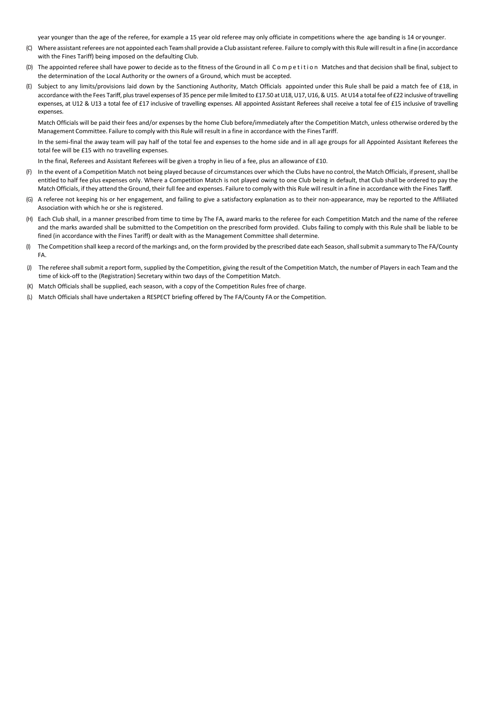year younger than the age of the referee, for example a 15 year old referee may only officiate in competitions where the age banding is 14 or younger.

- (C) Where assistant referees are not appointed each Team shall provide a Club assistant referee. Failure to comply with this Rule will result in a fine (in accordance with the Fines Tariff) being imposed on the defaulting Club.
- (D) The appointed referee shall have power to decide as to the fitness of the Ground in all C om p e tition Matches and that decision shall be final, subject to the determination of the Local Authority or the owners of a Ground, which must be accepted.
- (E) Subject to any limits/provisions laid down by the Sanctioning Authority, Match Officials appointed under this Rule shall be paid a match fee of £18, in accordance with the Fees Tariff, plus travel expenses of 35 pence per mile limited to £17.50 at U18, U17, U16, & U15. At U14 a total fee of £22 inclusive of travelling expenses, at U12 & U13 a total fee of £17 inclusive of travelling expenses. All appointed Assistant Referees shall receive a total fee of £15 inclusive of travelling expenses.

Match Officials will be paid their fees and/or expenses by the home Club before/immediately after the Competition Match, unless otherwise ordered by the Management Committee. Failure to comply with this Rule will result in a fine in accordance with the Fines Tariff.

In the semi-final the away team will pay half of the total fee and expenses to the home side and in all age groups for all Appointed Assistant Referees the total fee will be £15 with no travelling expenses.

In the final, Referees and Assistant Referees will be given a trophy in lieu of a fee, plus an allowance of £10.

- (F) In the event of a Competition Match not being played because of circumstances over which the Clubs have no control, the Match Officials, if present,shall be entitled to half fee plus expenses only. Where a Competition Match is not played owing to one Club being in default, that Club shall be ordered to pay the Match Officials, if they attend the Ground, their full fee and expenses. Failure to comply with this Rule willresult in a fine in accordance with the Fines Tariff.
- (G) A referee not keeping his or her engagement, and failing to give a satisfactory explanation as to their non-appearance, may be reported to the Affiliated Association with which he or she is registered.
- (H) Each Club shall, in a manner prescribed from time to time by The FA, award marks to the referee for each Competition Match and the name of the referee and the marks awarded shall be submitted to the Competition on the prescribed form provided. Clubs failing to comply with this Rule shall be liable to be fined (in accordance with the Fines Tariff) or dealt with as the Management Committee shall determine.
- (I) The Competition shall keep a record of the markings and, on the form provided by the prescribed date each Season,shallsubmit a summary to The FA/County FA.
- (J) The referee shallsubmit a report form, supplied by the Competition, giving the result of the Competition Match, the number of Players in each Team and the time of kick-off to the (Registration) Secretary within two days of the Competition Match.
- (K) Match Officials shall be supplied, each season, with a copy of the Competition Rules free of charge.
- (L) Match Officials shall have undertaken a RESPECT briefing offered by The FA/County FA or the Competition.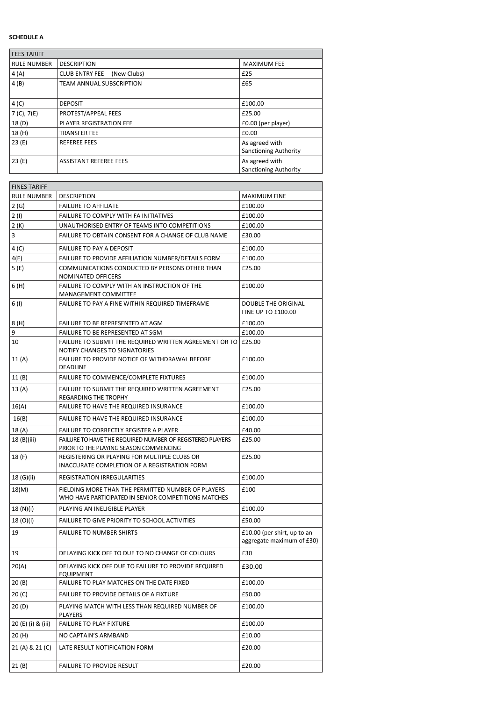# **SCHEDULE A**

| <b>FEES TARIFF</b> |                                      |                              |
|--------------------|--------------------------------------|------------------------------|
| <b>RULE NUMBER</b> | <b>DESCRIPTION</b>                   | <b>MAXIMUM FEE</b>           |
| 4(A)               | <b>CLUB ENTRY FEE</b><br>(New Clubs) | £25                          |
| 4(B)               | <b>TEAM ANNUAL SUBSCRIPTION</b>      | £65                          |
|                    |                                      |                              |
| 4 (C)              | <b>DEPOSIT</b>                       | £100.00                      |
| 7 (C), 7(E)        | PROTEST/APPEAL FEES                  | £25.00                       |
| 18 (D)             | <b>PLAYER REGISTRATION FEE</b>       | £0.00 (per player)           |
| 18 (H)             | <b>TRANSFER FEE</b>                  | £0.00                        |
| 23(E)              | <b>REFEREE FEES</b>                  | As agreed with               |
|                    |                                      | <b>Sanctioning Authority</b> |
| 23(E)              | <b>ASSISTANT REFEREE FEES</b>        | As agreed with               |
|                    |                                      | <b>Sanctioning Authority</b> |

| <b>FINES TARIFF</b> |                                                                                                            |                                                          |
|---------------------|------------------------------------------------------------------------------------------------------------|----------------------------------------------------------|
| <b>RULE NUMBER</b>  | <b>DESCRIPTION</b>                                                                                         | <b>MAXIMUM FINE</b>                                      |
| 2(G)                | <b>FAILURE TO AFFILIATE</b>                                                                                | £100.00                                                  |
| 2(1)                | FAILURE TO COMPLY WITH FA INITIATIVES                                                                      | £100.00                                                  |
| 2(K)                | UNAUTHORISED ENTRY OF TEAMS INTO COMPETITIONS                                                              | £100.00                                                  |
| 3                   | FAILURE TO OBTAIN CONSENT FOR A CHANGE OF CLUB NAME                                                        | £30.00                                                   |
| 4 (C)               | FAILURE TO PAY A DEPOSIT                                                                                   | £100.00                                                  |
| 4(E)                | FAILURE TO PROVIDE AFFILIATION NUMBER/DETAILS FORM                                                         | £100.00                                                  |
| 5 (E)               | COMMUNICATIONS CONDUCTED BY PERSONS OTHER THAN<br>NOMINATED OFFICERS                                       | £25.00                                                   |
| 6 (H)               | FAILURE TO COMPLY WITH AN INSTRUCTION OF THE<br>MANAGEMENT COMMITTEE                                       | £100.00                                                  |
| 6 (I)               | FAILURE TO PAY A FINE WITHIN REQUIRED TIMEFRAME                                                            | DOUBLE THE ORIGINAL<br><b>FINE UP TO £100.00</b>         |
| 8 (H)               | FAILURE TO BE REPRESENTED AT AGM                                                                           | £100.00                                                  |
| 9                   | FAILURE TO BE REPRESENTED AT SGM                                                                           | £100.00                                                  |
| 10                  | FAILURE TO SUBMIT THE REQUIRED WRITTEN AGREEMENT OR TO<br>NOTIFY CHANGES TO SIGNATORIES                    | £25.00                                                   |
| 11 (A)              | FAILURE TO PROVIDE NOTICE OF WITHDRAWAL BEFORE<br><b>DEADLINE</b>                                          | £100.00                                                  |
| 11 (B)              | FAILURE TO COMMENCE/COMPLETE FIXTURES                                                                      | £100.00                                                  |
| 13(A)               | FAILURE TO SUBMIT THE REQUIRED WRITTEN AGREEMENT<br>REGARDING THE TROPHY                                   | £25.00                                                   |
| 16(A)               | FAILURE TO HAVE THE REQUIRED INSURANCE                                                                     | £100.00                                                  |
| 16(B)               | <b>FAILURE TO HAVE THE REQUIRED INSURANCE</b>                                                              | £100.00                                                  |
| 18 (A)              | FAILURE TO CORRECTLY REGISTER A PLAYER                                                                     | £40.00                                                   |
| 18 (B)(iii)         | FAILURE TO HAVE THE REQUIRED NUMBER OF REGISTERED PLAYERS<br>PRIOR TO THE PLAYING SEASON COMMENCING        | £25.00                                                   |
| 18 (F)              | REGISTERING OR PLAYING FOR MULTIPLE CLUBS OR<br>INACCURATE COMPLETION OF A REGISTRATION FORM               | £25.00                                                   |
| 18 (G)(ii)          | REGISTRATION IRREGULARITIES                                                                                | £100.00                                                  |
| 18(M)               | FIELDING MORE THAN THE PERMITTED NUMBER OF PLAYERS<br>WHO HAVE PARTICIPATED IN SENIOR COMPETITIONS MATCHES | £100                                                     |
| 18 (N)(i)           | PLAYING AN INELIGIBLE PLAYER                                                                               | £100.00                                                  |
| 18 (O)(i)           | FAILURE TO GIVE PRIORITY TO SCHOOL ACTIVITIES                                                              | £50.00                                                   |
| 19                  | <b>FAILURE TO NUMBER SHIRTS</b>                                                                            | £10.00 (per shirt, up to an<br>aggregate maximum of £30) |
| 19                  | DELAYING KICK OFF TO DUE TO NO CHANGE OF COLOURS                                                           | £30                                                      |
| 20(A)               | DELAYING KICK OFF DUE TO FAILURE TO PROVIDE REQUIRED<br>EQUIPMENT                                          | £30.00                                                   |
| 20 (B)              | FAILURE TO PLAY MATCHES ON THE DATE FIXED                                                                  | £100.00                                                  |
| 20 <sub>(C)</sub>   | FAILURE TO PROVIDE DETAILS OF A FIXTURE                                                                    | £50.00                                                   |
| 20 (D)              | PLAYING MATCH WITH LESS THAN REQUIRED NUMBER OF<br>PLAYERS                                                 | £100.00                                                  |
| 20 (E) (i) & (iii)  | <b>FAILURE TO PLAY FIXTURE</b>                                                                             | £100.00                                                  |
| 20 (H)              | NO CAPTAIN'S ARMBAND                                                                                       | £10.00                                                   |
| 21 (A) & 21 (C)     | LATE RESULT NOTIFICATION FORM                                                                              | £20.00                                                   |
| 21 (B)              | <b>FAILURE TO PROVIDE RESULT</b>                                                                           | £20.00                                                   |